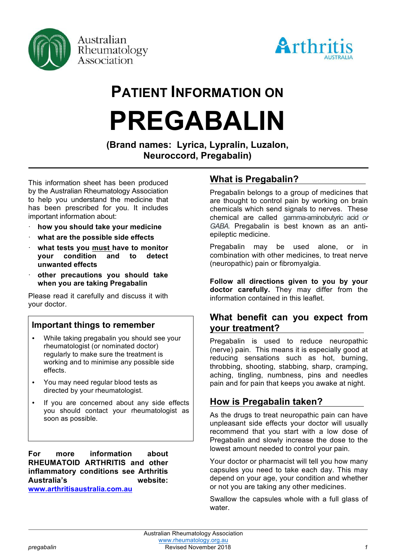

Australian Rheumatology Association



# **PATIENT INFORMATION ON PREGABALIN**

**(Brand names: Lyrica, Lypralin, Luzalon, Neuroccord, Pregabalin)**

This information sheet has been produced by the Australian Rheumatology Association to help you understand the medicine that has been prescribed for you. It includes important information about:

- · **how you should take your medicine**
- · **what are the possible side effects**
- · **what tests you must have to monitor your condition and to detect unwanted effects**
- · **other precautions you should take when you are taking Pregabalin**

Please read it carefully and discuss it with your doctor.

#### **Important things to remember**

- While taking pregabalin you should see your rheumatologist (or nominated doctor) regularly to make sure the treatment is working and to minimise any possible side effects.
- You may need regular blood tests as directed by your rheumatologist.
- If you are concerned about any side effects you should contact your rheumatologist as soon as possible.

**For more information about RHEUMATOID ARTHRITIS and other inflammatory conditions see Arthritis Australia's website: www.arthritisaustralia.com.au**

# **What is Pregabalin?**

Pregabalin belongs to a group of medicines that are thought to control pain by working on brain chemicals which send signals to nerves. These chemical are called gamma*-*aminobutyric acid *or GABA.* Pregabalin is best known as an antiepileptic medicine.

Pregabalin may be used alone, or in combination with other medicines, to treat nerve (neuropathic) pain or fibromyalgia.

**Follow all directions given to you by your doctor carefully.** They may differ from the information contained in this leaflet.

# **What benefit can you expect from your treatment?**

Pregabalin is used to reduce neuropathic (nerve) pain. This means it is especially good at reducing sensations such as hot, burning, throbbing, shooting, stabbing, sharp, cramping, aching, tingling, numbness, pins and needles pain and for pain that keeps you awake at night.

# **How is Pregabalin taken?**

As the drugs to treat neuropathic pain can have unpleasant side effects your doctor will usually recommend that you start with a low dose of Pregabalin and slowly increase the dose to the lowest amount needed to control your pain.

Your doctor or pharmacist will tell you how many capsules you need to take each day. This may depend on your age, your condition and whether or not you are taking any other medicines.

Swallow the capsules whole with a full glass of water.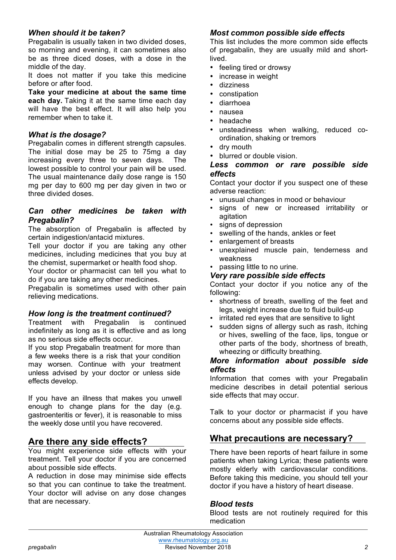## *When should it be taken?*

Pregabalin is usually taken in two divided doses, so morning and evening, it can sometimes also be as three diced doses, with a dose in the middle of the day.

It does not matter if you take this medicine before or after food.

**Take your medicine at about the same time each day.** Taking it at the same time each day will have the best effect. It will also help you remember when to take it.

#### *What is the dosage?*

Pregabalin comes in different strength capsules. The initial dose may be 25 to 75mg a day increasing every three to seven days. The lowest possible to control your pain will be used. The usual maintenance daily dose range is 150 mg per day to 600 mg per day given in two or three divided doses.

#### *Can other medicines be taken with Pregabalin?*

The absorption of Pregabalin is affected by certain indigestion/antacid mixtures.

Tell your doctor if you are taking any other medicines, including medicines that you buy at the chemist, supermarket or health food shop.

Your doctor or pharmacist can tell you what to do if you are taking any other medicines.

Pregabalin is sometimes used with other pain relieving medications.

#### *How long is the treatment continued?*

Treatment with Pregabalin is continued indefinitely as long as it is effective and as long as no serious side effects occur.

If you stop Pregabalin treatment for more than a few weeks there is a risk that your condition may worsen. Continue with your treatment unless advised by your doctor or unless side effects develop.

If you have an illness that makes you unwell enough to change plans for the day (e.g. gastroenteritis or fever), it is reasonable to miss the weekly dose until you have recovered.

## **Are there any side effects?**

You might experience side effects with your treatment. Tell your doctor if you are concerned about possible side effects.

A reduction in dose may minimise side effects so that you can continue to take the treatment. Your doctor will advise on any dose changes that are necessary.

#### *Most common possible side effects*

This list includes the more common side effects of pregabalin, they are usually mild and shortlived.

- feeling tired or drowsy
- increase in weight
- dizziness
- constipation
- diarrhoea
- nausea
- headache
- unsteadiness when walking, reduced coordination, shaking or tremors
- dry mouth
- blurred or double vision.

#### *Less common or rare possible side effects*

Contact your doctor if you suspect one of these adverse reaction:

- unusual changes in mood or behaviour
- signs of new or increased irritability or agitation
- signs of depression
- swelling of the hands, ankles or feet
- enlargement of breasts
- unexplained muscle pain, tenderness and weakness
- passing little to no urine.

#### *Very rare possible side effects*

Contact your doctor if you notice any of the following:

- shortness of breath, swelling of the feet and legs, weight increase due to fluid build-up
- irritated red eyes that are sensitive to light
- sudden signs of allergy such as rash, itching or hives, swelling of the face, lips, tongue or other parts of the body, shortness of breath, wheezing or difficulty breathing.

#### *More information about possible side effects*

Information that comes with your Pregabalin medicine describes in detail potential serious side effects that may occur.

Talk to your doctor or pharmacist if you have concerns about any possible side effects.

## **What precautions are necessary?**

There have been reports of heart failure in some patients when taking Lyrica; these patients were mostly elderly with cardiovascular conditions. Before taking this medicine, you should tell your doctor if you have a history of heart disease.

#### *Blood tests*

Blood tests are not routinely required for this medication